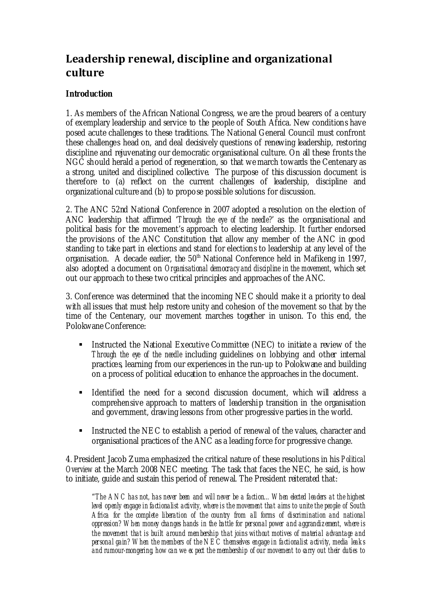# **Leadership renewal, discipline and organizational culture**

## **Introduction**

1. As members of the African National Congress, we are the proud bearers of a century of exemplary leadership and service to the people of South Africa. New conditions have posed acute challenges to these traditions. The National General Council must confront these challenges head on, and deal decisively questions of renewing leadership, restoring discipline and rejuvenating our democratic organisational culture. On all these fronts the NGC should herald a period of regeneration, so that we march towards the Centenary as a strong, united and disciplined collective. The purpose of this discussion document is therefore to (a) reflect on the current challenges of leadership, discipline and organizational culture and (b) to propose possible solutions for discussion.

2. The ANC 52nd National Conference in 2007 adopted a resolution on the election of ANC leadership that affirmed '*Through the eye of the needle?*' as the organisational and political basis for the movement's approach to electing leadership. It further endorsed the provisions of the ANC Constitution that allow any member of the ANC in good standing to take part in elections and stand for elections to leadership at any level of the organisation. A decade earlier, the  $50<sup>th</sup>$  National Conference held in Mafikeng in 1997, also adopted a document on *Organisational democracy and discipline in the movement*, which set out our approach to these two critical principles and approaches of the ANC.

3. Conference was determined that the incoming NEC should make it a priority to deal with all issues that must help restore unity and cohesion of the movement so that by the time of the Centenary, our movement marches together in unison. To this end, the Polokwane Conference:

- Instructed the National Executive Committee (NEC) to initiate a review of the *Through the eye of the needle* including guidelines on lobbying and other internal practices, learning from our experiences in the run-up to Polokwane and building on a process of political education to enhance the approaches in the document.
- Identified the need for a second discussion document, which will address a comprehensive approach to matters of leadership transition in the organisation and government, drawing lessons from other progressive parties in the world.
- Instructed the NEC to establish a period of renewal of the values, character and organisational practices of the ANC as a leading force for progressive change.

4. President Jacob Zuma emphasized the critical nature of these resolutions in his *Political Overview* at the March 2008 NEC meeting. The task that faces the NEC, he said, is how to initiate, guide and sustain this period of renewal. The President reiterated that:

"*The ANC has not, has never been and will never be a faction…When elected leaders at the highest level openly engage in factionalist activity, where is the movement that aims to unite the people of South Africa for the complete liberation of the country from all forms of discrimination and national oppression? When money changes hands in the battle for personal power and aggrandizement, where is the movement that is built around membership that joins without motives of material advantage and personal gain? When the members of the NEC themselves engage in factionalist activity, media leaks and rumour-mongering, how can we ex pect the membership of our movement to carry out their duties to*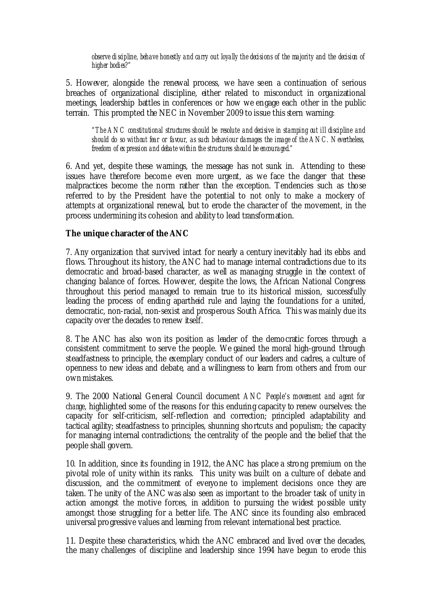*observe di scipline, behave honestly and carry out loyally the decisions of the majority and the decision of higher bodies?"*

5. However, alongside the renewal process, we have seen a continuation of serious breaches of organizational discipline, either related to misconduct in organizational meetings, leadership battles in conferences or how we engage each other in the public terrain. This prompted the NEC in November 2009 to issue this stern warning:

*"The ANC constitutional structures should be resolute and decisive in stamping out ill discipline and should do so without fear or favour, as such behaviour damages the image of the ANC. Nevertheless, freedom of expression and debate within the structures should be encouraged."*

6. And yet, despite these warnings, the message has not sunk in. Attending to these issues have therefore become even more urgent, as we face the danger that these malpractices become the norm rather than the exception. Tendencies such as those referred to by the President have the potential to not only to make a mockery of attempts at organizational renewal, but to erode the character of the movement, in the process undermining its cohesion and ability to lead transformation.

#### **The unique character of the ANC**

7. Any organization that survived intact for nearly a century inevitably had its ebbs and flows. Throughout its history, the ANC had to manage internal contradictions due to its democratic and broad-based character, as well as managing struggle in the context of changing balance of forces. However, despite the lows, the African National Congress throughout this period managed to remain true to its historical mission, successfully leading the process of ending apartheid rule and laying the foundations for a united, democratic, non-racial, non-sexist and prosperous South Africa. This was mainly due its capacity over the decades to renew itself.

8. The ANC has also won its position as leader of the democratic forces through a consistent commitment to serve the people. We gained the moral high-ground through steadfastness to principle, the exemplary conduct of our leaders and cadres, a culture of openness to new ideas and debate, and a willingness to learn from others and from our own mistakes.

9. The 2000 National General Council document *ANC People's movement and agent for change*, highlighted some of the reasons for this enduring capacity to renew ourselves: the capacity for self-criticism, self-reflection and correction; principled adaptability and tactical agility; steadfastness to principles, shunning shortcuts and populism; the capacity for managing internal contradictions; the centrality of the people and the belief that the people shall govern.

10. In addition, since its founding in 1912, the ANC has place a strong premium on the pivotal role of unity within its ranks. This unity was built on a culture of debate and discussion, and the commitment of everyone to implement decisions once they are taken. The unity of the ANC was also seen as important to the broader task of unity in action amongst the motive forces, in addition to pursuing the widest possible unity amongst those struggling for a better life. The ANC since its founding also embraced universal progressive values and learning from relevant international best practice.

11. Despite these characteristics, which the ANC embraced and lived over the decades, the many challenges of discipline and leadership since 1994 have begun to erode this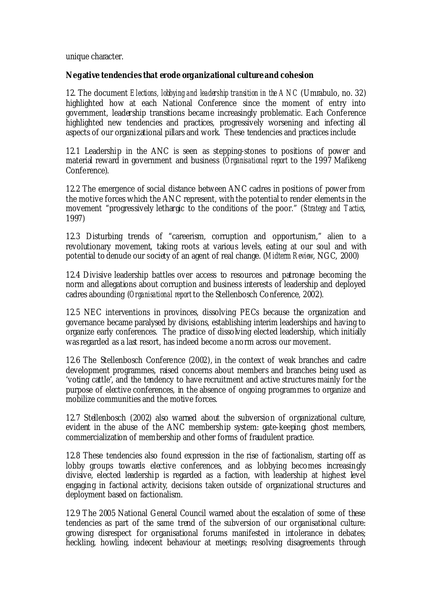unique character.

## **Negative tendencies that erode organizational culture and cohesion**

12. The document *Elections, lobbying and leadership transition in the ANC* (Umrabulo, no. 32) highlighted how at each National Conference since the moment of entry into government, leadership transitions became increasingly problematic. Each Conference highlighted new tendencies and practices, progressively worsening and infecting all aspects of our organizational pillars and work. These tendencies and practices include:

12.1 Leadership in the ANC is seen as stepping-stones to positions of power and material reward in government and business (*Organisational report* to the 1997 Mafikeng Conference).

12.2 The emergence of social distance between ANC cadres in positions of power from the motive forces which the ANC represent, with the potential to render elements in the movement "progressively lethargic to the conditions of the poor." (*Strategy and Tactics*, 1997)

12.3 Disturbing trends of "careerism, corruption and opportunism," alien to a revolutionary movement, taking roots at various levels, eating at our soul and with potential to denude our society of an agent of real change. (*Midterm Review*, NGC, 2000)

12.4 Divisive leadership battles over access to resources and patronage becoming the norm and allegations about corruption and business interests of leadership and deployed cadres abounding (*Organisational report* to the Stellenbosch Conference, 2002).

12.5 NEC interventions in provinces, dissolving PECs because the organization and governance became paralysed by divisions, establishing interim leaderships and having to organize early conferences. The practice of dissolving elected leadership, which initially was regarded as a last resort, has indeed become a norm across our movement.

12.6 The Stellenbosch Conference (2002), in the context of weak branches and cadre development programmes, raised concerns about members and branches being used as 'voting cattle', and the tendency to have recruitment and active structures mainly for the purpose of elective conferences, in the absence of ongoing programmes to organize and mobilize communities and the motive forces.

12.7 Stellenbosch (2002) also warned about the subversion of organizational culture, evident in the abuse of the ANC membership system: gate-keeping, ghost members, commercialization of membership and other forms of fraudulent practice.

12.8 These tendencies also found expression in the rise of factionalism, starting off as lobby groups towards elective conferences, and as lobbying becomes increasingly divisive, elected leadership is regarded as a faction, with leadership at highest level engaging in factional activity, decisions taken outside of organizational structures and deployment based on factionalism.

12.9 The 2005 National General Council warned about the escalation of some of these tendencies as part of the same trend of the subversion of our organisational culture: growing disrespect for organisational forums manifested in intolerance in debates; heckling, howling, indecent behaviour at meetings; resolving disagreements through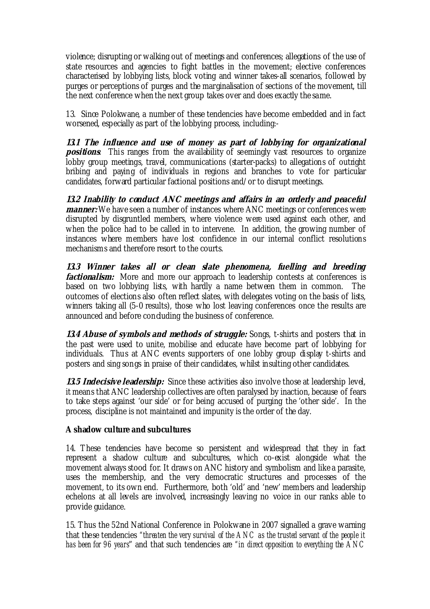violence; disrupting or walking out of meetings and conferences; allegations of the use of state resources and agencies to fight battles in the movement; elective conferences characterised by lobbying lists, block voting and winner takes-all scenarios, followed by purges or perceptions of purges and the marginalisation of sections of the movement, till the next conference when the next group takes over and does exactly the same.

13. Since Polokwane, a number of these tendencies have become embedded and in fact worsened, especially as part of the lobbying process, including:-

**13.1 The influence and use of money as part of lobbying for organizational positions**: This ranges from the availability of seemingly vast resources to organize lobby group meetings, travel, communications (starter-packs) to allegations of outright bribing and paying of individuals in regions and branches to vote for particular candidates, forward particular factional positions and/or to disrupt meetings.

**13.2 Inability to conduct ANC meetings and affairs in an orderly and peaceful manner:** We have seen a number of instances where ANC meetings or conferences were disrupted by disgruntled members, where violence were used against each other, and when the police had to be called in to intervene. In addition, the growing number of instances where members have lost confidence in our internal conflict resolutions mechanisms and therefore resort to the courts.

**13.3 Winner takes all or clean slate phenomena, fuelling and breeding** *factionalism:* More and more our approach to leadership contests at conferences is based on two lobbying lists, with hardly a name between them in common. The outcomes of elections also often reflect slates, with delegates voting on the basis of lists, winners taking all (5-0 results), those who lost leaving conferences once the results are announced and before concluding the business of conference.

**134 Abuse of symbols and methods of struggle:** Songs, t-shirts and posters that in the past were used to unite, mobilise and educate have become part of lobbying for individuals. Thus at ANC events supporters of one lobby group display t-shirts and posters and sing songs in praise of their candidates, whilst insulting other candidates.

**135 Indecisive leadership:** Since these activities also involve those at leadership level, it means that ANC leadership collectives are often paralysed by inaction, because of fears to take steps against 'our side' or for being accused of purging the 'other side'. In the process, discipline is not maintained and impunity is the order of the day.

## **A shadow culture and subcultures**

14. These tendencies have become so persistent and widespread that they in fact represent a shadow culture and subcultures, which co-exist alongside what the movement always stood for. It draws on ANC history and symbolism and like a parasite, uses the membership, and the very democratic structures and processes of the movement, to its own end. Furthermore, both 'old' and 'new' members and leadership echelons at all levels are involved, increasingly leaving no voice in our ranks able to provide guidance.

15. Thus the 52nd National Conference in Polokwane in 2007 signalled a grave warning that these tendencies *"threaten the very survival of the ANC as the trusted servant of the people it has been for 96 years*" and that such tendencies are *"in direct opposition to everything the ANC*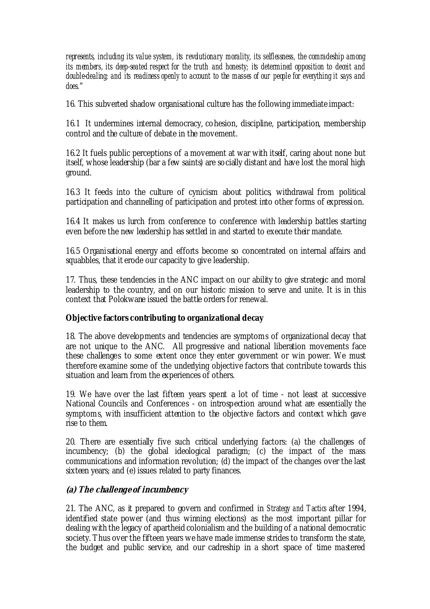*represents, including its value system, its revolutionary morality, its selflessness, the comradeship among its members, its deep-seated respect for the truth and honesty; its determined opposition to deceit and double-dealing; and its readiness openly to account to the masses of our people for everything it says and does.*"

16. This subverted shadow organisational culture has the following immediate impact:

16.1 It undermines internal democracy, cohesion, discipline, participation, membership control and the culture of debate in the movement.

16.2 It fuels public perceptions of a movement at war with itself, caring about none but itself, whose leadership (bar a few saints) are socially distant and have lost the moral high ground.

16.3 It feeds into the culture of cynicism about politics, withdrawal from political participation and channelling of participation and protest into other forms of expression.

16.4 It makes us lurch from conference to conference with leadership battles starting even before the new leadership has settled in and started to execute their mandate.

16.5 Organisational energy and efforts become so concentrated on internal affairs and squabbles, that it erode our capacity to give leadership.

17. Thus, these tendencies in the ANC impact on our ability to give strategic and moral leadership to the country, and on our historic mission to serve and unite. It is in this context that Polokwane issued the battle orders for renewal.

## **Objective factors contributing to organizational decay**

18. The above developments and tendencies are symptoms of organizational decay that are not unique to the ANC. All progressive and national liberation movements face these challenges to some extent once they enter government or win power. We must therefore examine some of the underlying objective factors that contribute towards this situation and learn from the experiences of others.

19. We have over the last fifteen years spent a lot of time - not least at successive National Councils and Conferences - on introspection around what are essentially the symptoms, with insufficient attention to the objective factors and context which gave rise to them.

20. There are essentially five such critical underlying factors: (a) the challenges of incumbency; (b) the global ideological paradigm; (c) the impact of the mass communications and information revolution; (d) the impact of the changes over the last sixteen years; and (e) issues related to party finances.

## **(a) The challenge of incumbency**

21. The ANC, as it prepared to govern and confirmed in *Strategy and Tactics* after 1994, identified state power (and thus winning elections) as the most important pillar for dealing with the legacy of apartheid colonialism and the building of a national democratic society. Thus over the fifteen years we have made immense strides to transform the state, the budget and public service, and our cadreship in a short space of time mastered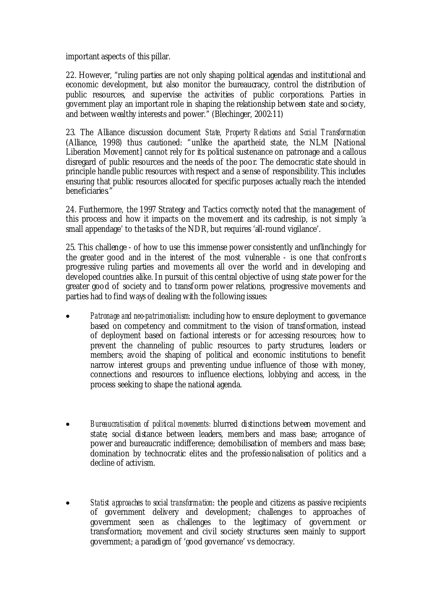important aspects of this pillar.

22. However, "ruling parties are not only shaping political agendas and institutional and economic development, but also monitor the bureaucracy, control the distribution of public resources, and supervise the activities of public corporations. Parties in government play an important role in shaping the relationship between state and society, and between wealthy interests and power." (Blechinger, 2002:11)

23. The Alliance discussion document *State, Property Relations and Social Transformation* (Alliance, 1998) thus cautioned: "unlike the apartheid state, the NLM [National Liberation Movement] cannot rely for its political sustenance on patronage and a callous disregard of public resources and the needs of the poor. The democratic state should in principle handle public resources with respect and a sense of responsibility. This includes ensuring that public resources allocated for specific purposes actually reach the intended beneficiaries."

24. Furthermore, the 1997 Strategy and Tactics correctly noted that the management of this process and how it impacts on the movement and its cadreship, is not simply 'a small appendage' to the tasks of the NDR, but requires 'all-round vigilance'.

25. This challenge - of how to use this immense power consistently and unflinchingly for the greater good and in the interest of the most vulnerable - is one that confront s progressive ruling parties and movements all over the world and in developing and developed countries alike. In pursuit of this central objective of using state power for the greater good of society and to transform power relations, progressive movements and parties had to find ways of dealing with the following issues:

- *Patronage and neo-patrimonialism:* including how to ensure deployment to governance based on competency and commitment to the vision of transformation, instead of deployment based on factional interests or for accessing resources; how to prevent the channeling of public resources to party structures, leaders or members; avoid the shaping of political and economic institutions to benefit narrow interest groups and preventing undue influence of those with money, connections and resources to influence elections, lobbying and access, in the process seeking to shape the national agenda.
- *Bureaucratisation of political movements:* blurred distinctions between movement and state; social distance between leaders, members and mass base; arrogance of power and bureaucratic indifference; demobilisation of members and mass base; domination by technocratic elites and the professionalisation of politics and a decline of activism.
- *Statist approaches to social transformation*: the people and citizens as passive recipients of government delivery and development; challenges to approaches of government seen as challenges to the legitimacy of government or transformation; movement and civil society structures seen mainly to support government; a paradigm of 'good governance' vs democracy.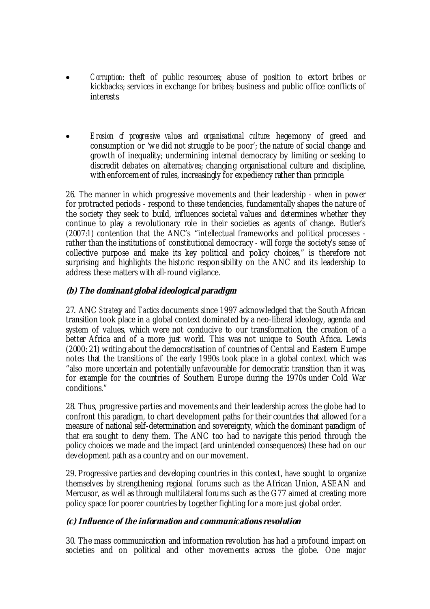- *Corruption*: theft of public resources; abuse of position to extort bribes or kickbacks; services in exchange for bribes; business and public office conflicts of interests.
- *Erosion of progressive values and organisational culture:* hegemony of greed and consumption or 'we did not struggle to be poor'; the nature of social change and growth of inequality; undermining internal democracy by limiting or seeking to discredit debates on alternatives; changing organisational culture and discipline, with enforcement of rules, increasingly for expediency rather than principle.

26. The manner in which progressive movements and their leadership - when in power for protracted periods - respond to these tendencies, fundamentally shapes the nature of the society they seek to build, influences societal values and determines whether they continue to play a revolutionary role in their societies as agents of change. Butler's (2007:1) contention that the ANC's "intellectual frameworks and political processes rather than the institutions of constitutional democracy - will forge the society's sense of collective purpose and make its key political and policy choices," is therefore not surprising and highlights the historic responsibility on the ANC and its leadership to address these matters with all-round vigilance.

## **(b) The dominant global ideological paradigm**

27. ANC *Strategy and Tactics* documents since 1997 acknowledged that the South African transition took place in a global context dominated by a neo-liberal ideology, agenda and system of values, which were not conducive to our transformation, the creation of a better Africa and of a more just world. This was not unique to South Africa. Lewis (2000: 21) writing about the democratisation of countries of Central and Eastern Europe notes that the transitions of the early 1990s took place in a global context which was "also more uncertain and potentially unfavourable for democratic transition than it was, for example for the countries of Southern Europe during the 1970s under Cold War conditions."

28. Thus, progressive parties and movements and their leadership across the globe had to confront this paradigm, to chart development paths for their countries that allowed for a measure of national self-determination and sovereignty, which the dominant paradigm of that era sought to deny them. The ANC too had to navigate this period through the policy choices we made and the impact (and unintended consequences) these had on our development path as a country and on our movement.

29. Progressive parties and developing countries in this context, have sought to organize themselves by strengthening regional forums such as the African Union, ASEAN and Mercusor, as well as through multilateral forums such as the G77 aimed at creating more policy space for poorer countries by together fighting for a more just global order.

## **(c) Influence of the information and communications revolution**

30. The mass communication and information revolution has had a profound impact on societies and on political and other movements across the globe. One major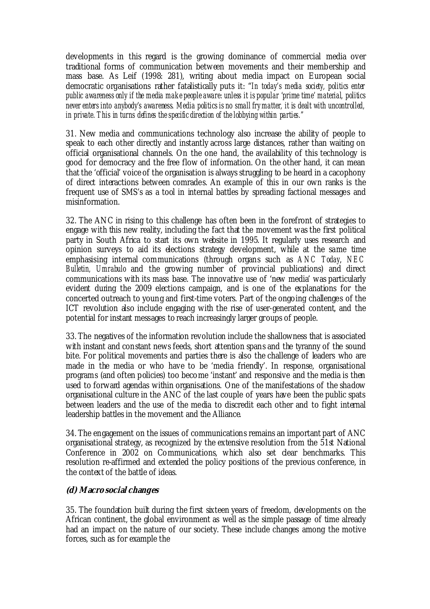developments in this regard is the growing dominance of commercial media over traditional forms of communication between movements and their membership and mass base. As Leif (1998: 281), writing about media impact on European social democratic organisations rather fatalistically puts it: "*In today's media society, politics enter public awareness only if the media make people aware: unless it is popular 'prime time' material, politics never enters into anybody's awareness. Media politics is no small fry matter, it is dealt with uncontrolled, in private. This in turns defines the specific direction of the lobbying within parties."*

31. New media and communications technology also increase the ability of people to speak to each other directly and instantly across large distances, rather than waiting on official organisational channels. On the one hand, the availability of this technology is good for democracy and the free flow of information. On the other hand, it can mean that the 'official' voice of the organisation is always struggling to be heard in a cacophony of direct interactions between comrades. An example of this in our own ranks is the frequent use of SMS's as a tool in internal battles by spreading factional messages and misinformation.

32. The ANC in rising to this challenge has often been in the forefront of strategies to engage with this new reality, including the fact that the movement was the first political party in South Africa to start its own website in 1995. It regularly uses research and opinion surveys to aid its elections strategy development, while at the same time emphasising internal communications (through organs such as *ANC Today*, *NEC Bulletin, Umrabulo* and the growing number of provincial publications) and direct communications with its mass base. The innovative use of 'new media' was particularly evident during the 2009 elections campaign, and is one of the explanations for the concerted outreach to young and first-time voters. Part of the ongoing challenges of the ICT revolution also include engaging with the rise of user-generated content, and the potential for instant messages to reach increasingly larger groups of people.

33. The negatives of the information revolution include the shallowness that is associated with instant and constant news feeds, short attention spans and the tyranny of the sound bite. For political movements and parties there is also the challenge of leaders who are made in the media or who have to be 'media friendly'. In response, organisational programs (and often policies) too become 'instant' and responsive and the media is then used to forward agendas within organisations. One of the manifestations of the shadow organisational culture in the ANC of the last couple of years have been the public spats between leaders and the use of the media to discredit each other and to fight internal leadership battles in the movement and the Alliance.

34. The engagement on the issues of communications remains an important part of ANC organisational strategy, as recognized by the extensive resolution from the 51st National Conference in 2002 on Communications, which also set clear benchmarks. This resolution re-affirmed and extended the policy positions of the previous conference, in the context of the battle of ideas.

## **(d) Macro social changes**

35. The foundation built during the first sixteen years of freedom, developments on the African continent, the global environment as well as the simple passage of time already had an impact on the nature of our society. These include changes among the motive forces, such as for example the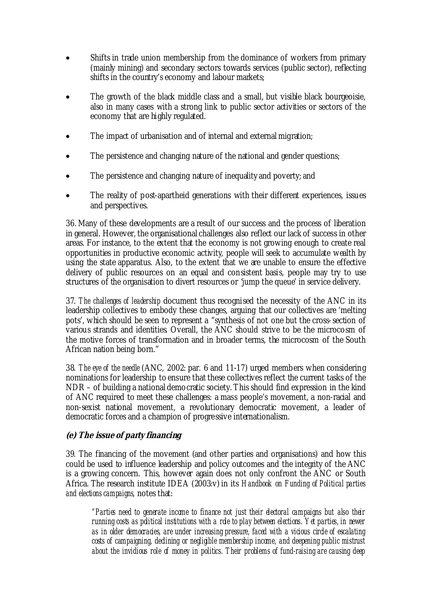- Shifts in trade union membership from the dominance of workers from primary (mainly mining) and secondary sectors towards services (public sector), reflecting shifts in the country's economy and labour markets;
- The growth of the black middle class and a small, but visible black bourgeoisie, also in many cases with a strong link to public sector activities or sectors of the economy that are highly regulated.
- The impact of urbanisation and of internal and external migration;
- The persistence and changing nature of the national and gender questions;
- The persistence and changing nature of inequality and poverty; and
- The reality of post-apartheid generations with their different experiences, issues and perspectives.

36. Many of these developments are a result of our success and the process of liberation in general. However, the organisational challenges also reflect our lack of success in other areas. For instance, to the extent that the economy is not growing enough to create real opportunities in productive economic activity, people will seek to accumulate wealth by using the state apparatus. Also, to the extent that we are unable to ensure the effective delivery of public resources on an equal and consistent basis, people may try to use structures of the organisation to divert resources or 'jump the queue' in service delivery.

37. *The challenges of leadership* document thus recognised the necessity of the ANC in its leadership collectives to embody these changes, arguing that our collectives are 'melting pots', which should be seen to represent a "synthesis of not one but the cross-section of various strands and identities. Overall, the ANC should strive to be the microcosm of the motive forces of transformation and in broader terms, the microcosm of the South African nation being born."

38. *The eye of the needle* (ANC, 2002: par. 6 and 11-17) urged members when considering nominations for leadership to ensure that these collectives reflect the current tasks of the NDR – of building a national democratic society. This should find expression in the kind of ANC required to meet these challenges: a mass people's movement, a non-racial and non-sexist national movement, a revolutionary democratic movement, a leader of democratic forces and a champion of progressive internationalism.

# **(e) The issue of party financing**

39. The financing of the movement (and other parties and organisations) and how this could be used to influence leadership and policy outcomes and the integrity of the ANC is a growing concern. This, however again does not only confront the ANC or South Africa. The research institute IDEA (2003:v) in its *Handbook on Funding of Political parties and elections campaigns,* notes that:

*"Parties need to generate income to finance not just their electoral campaigns but also their running costs as political institutions with a role to play between elections. Yet parties, in newer as in older democracies, are under increasing pressure, faced with a vicious circle of escalating costs of campaigning, declining or negligible membership income, and deepening public mistrust about the invidious role of money in politics. Their problems of fund-raising are causing deep*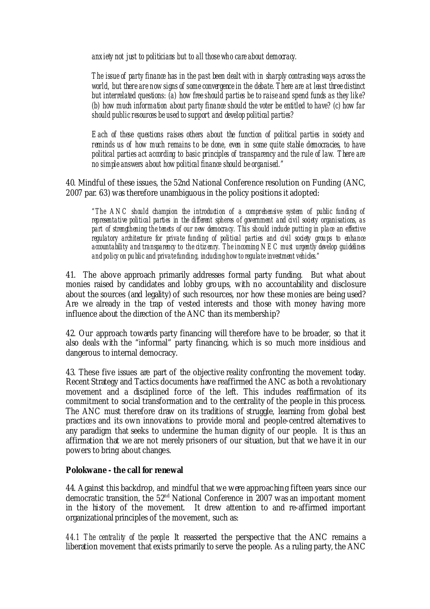*anxiety not just to politicians but to all those who care about democracy.* 

*The issue of party finance has in the past been dealt with in sharply contrasting ways across the world, but there are now signs of some convergence in the debate. There are at least three distinct but interrelated questions: (a) how free should parties be to raise and spend funds as they like? (b) how much information about party finance should the voter be entitled to have? (c) how far should public resources be used to support and develop political parties?*

*Each of these questions raises others about the function of political parties in society and reminds us of how much remains to be done, even in some quite stable democracies, to have political parties act according to basic principles of transparency and the rule of law. There are no simple answers about how political finance should be organised."*

40. Mindful of these issues, the 52nd National Conference resolution on Funding (ANC, 2007 par. 63) was therefore unambiguous in the policy positions it adopted:

*"The ANC should champion the introduction of a comprehensive system of public funding of representative political parties in the different spheres of government and civil society organisations, as part of strengthening the tenets of our new democracy. This should include putting in place an effective regulatory architecture for private funding of political parties and civil society groups to enhance accountability and transparency to the citizenry. The incoming NEC must urgently develop guidelines and policy on public and private funding, including how to regulate investment vehicles."*

41. The above approach primarily addresses formal party funding. But what about monies raised by candidates and lobby groups, with no accountability and disclosure about the sources (and legality) of such resources, nor how these monies are being used? Are we already in the trap of vested interests and those with money having more influence about the direction of the ANC than its membership?

42. Our approach towards party financing will therefore have to be broader, so that it also deals with the "informal" party financing, which is so much more insidious and dangerous to internal democracy.

43. These five issues are part of the objective reality confronting the movement today. Recent Strategy and Tactics documents have reaffirmed the ANC as both a revolutionary movement and a disciplined force of the left. This indudes reaffirmation of its commitment to social transformation and to the centrality of the people in this process. The ANC must therefore draw on its traditions of struggle, learning from global best practices and its own innovations to provide moral and people-centred alternatives to any paradigm that seeks to undermine the human dignity of our people. It is thus an affirmation that we are not merely prisoners of our situation, but that we have it in our powers to bring about changes.

## **Polokwane - the call for renewal**

44. Against this backdrop, and mindful that we were approaching fifteen years since our democratic transition, the  $52<sup>nd</sup>$  National Conference in 2007 was an important moment in the history of the movement. It drew attention to and re-affirmed important organizational principles of the movement, such as:

*44.1 The centrality of the people:* It reasserted the perspective that the ANC remains a liberation movement that exists primarily to serve the people. As a ruling party, the ANC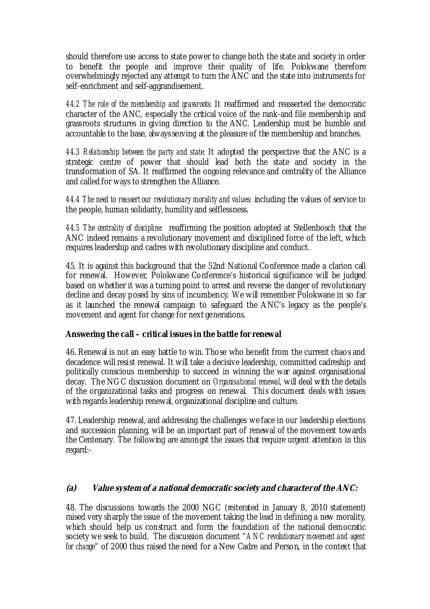should therefore use access to state power to change both the state and society in order to benefit the people and improve their quality of life. Polokwane therefore overwhelmingly rejected any attempt to turn the ANC and the state into instruments for self-enrichment and self-aggrandisement.

*44.2 The role of the membership and grassroots:* It reaffirmed and reasserted the democratic character of the ANC, especially the critical voice of the rank-and file membership and grassroots structures in giving direction to the ANC. Leadership must be humble and accountable to the base, always serving at the pleasure of the membership and branches.

*44.3 Relationship between the party and state:* It adopted the perspective that the ANC is a strategic centre of power that should lead both the state and society in the transformation of SA. It reaffirmed the ongoing relevance and centrality of the Alliance and called for ways to strengthen the Alliance.

*44.4 The need to reassert our revolutionary morality and values*: including the values of service to the people, human solidarity, humility and selflessness.

*44.5 The centrality of discipline:* reaffirming the position adopted at Stellenbosch that the ANC indeed remains a revolutionary movement and disciplined force of the left, which requires leadership and cadres with revolutionary discipline and conduct.

45. It is against this background that the 52nd National Conference made a clarion call for renewal. However, Polokwane Conference's historical significance will be judged based on whether it was a turning point to arrest and reverse the danger of revolutionary decline and decay posed by sins of incumbency. We will remember Polokwane in so far as it launched the renewal campaign to safeguard the ANC's legacy as the people's movement and agent for change for next generations.

## **Answering the call – critical issues in the battle for renewal**

46. Renewal is not an easy battle to win. Those who benefit from the current chaos and decadence will resist renewal. It will take a decisive leadership, committed cadreship and politically conscious membership to succeed in winning the war against organisational decay. The NGC discussion document on *Organisational renewal*, will deal with the details of the organizational tasks and progress on renewal. This document deals with issues with regards leadership renewal, organizational discipline and culture.

47. Leadership renewal, and addressing the challenges we face in our leadership elections and succession planning, will be an important part of renewal of the movement towards the Centenary. The following are amongst the issues that require urgent attention in this regard:-

## **(a) Value system of a national democratic society and character of the ANC:**

48. The discussions towards the 2000 NGC (reiterated in January 8, 2010 statement) raised very sharply the issue of the movement taking the lead in defining a new morality, which should help us construct and form the foundation of the national democratic society we seek to build. The discussion document "*ANC revolutionary movement and agent for change*" of 2000 thus raised the need for a New Cadre and Person, in the context that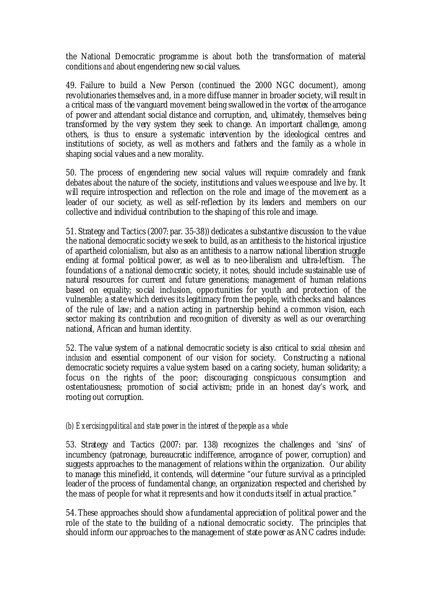the National Democratic programme is about both the transformation of material conditions *and* about engendering new social values.

49. Failure to build a New Person (continued the 2000 NGC document), among revolutionaries themselves and, in a more diffuse manner in broader society, will result in a critical mass of the vanguard movement being swallowed in the vortex of the arrogance of power and attendant social distance and corruption, and, ultimately, themselves being transformed by the very system they seek to change. An important challenge, among others, is thus to ensure a systematic intervention by the ideological centres and institutions of society, as well as mothers and fathers and the family as a whole in shaping social values and a new morality.

50. The process of engendering new social values will require comradely and frank debates about the nature of the society, institutions and values we espouse and live by. It will require introspection and reflection on the role and image of the movement as a leader of our society, as well as self-reflection by its leaders and members on our collective and individual contribution to the shaping of this role and image.

51. Strategy and Tactics (2007: par. 35-38)) dedicates a substantive discussion to the value the national democratic society we seek to build, as an antithesis to the historical injustice of apartheid colonialism, but also as an antithesis to a narrow national liberation struggle ending at formal political power, as well as to neo-liberalism and ultra-leftism. The foundations of a national democratic society, it notes, should include sustainable use of natural resources for current and future generations; management of human relations based on equality; social inclusion, opportunities for youth and protection of the vulnerable; a state which derives its legitimacy from the people, with checks and balances of the rule of law; and a nation acting in partnership behind a common vision, each sector making its contribution and recognition of diversity as well as our overarching national, African and human identity.

52. The value system of a national democratic society is also critical to *social cohesion and inclusion* and essential component of our vision for society. Constructing a national democratic society requires a value system based on a caring society, human solidarity; a focus on the rights of the poor; discouraging conspicuous consumption and ostentatiousness; promotion of social activism; pride in an honest day's work, and rooting out corruption.

## *(b) Exercising political and state power in the interest of the people as a whole*

53. Strategy and Tactics (2007: par. 138) recognizes the challenges and 'sins' of incumbency (patronage, bureaucratic indifference, arrogance of power, corruption) and suggests approaches to the management of relations within the organization. Our ability to manage this minefield, it contends, will determine "our future survival as a principled leader of the process of fundamental change, an organization respected and cherished by the mass of people for what it represents and how it conducts itself in actual practice."

54. These approaches should show a fundamental appreciation of political power and the role of the state to the building of a national democratic society. The principles that should inform our approaches to the management of state power as ANC cadres indude: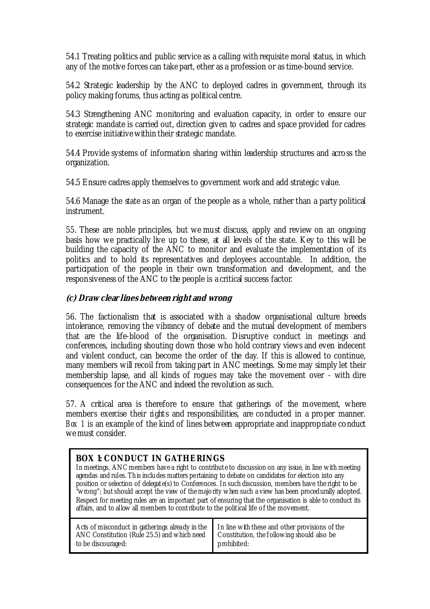54.1 Treating politics and public service as a calling with requisite moral status, in which any of the motive forces can take part, ether as a profession or as time-bound service.

54.2 Strategic leadership by the ANC to deployed cadres in government, through its policy making forums, thus acting as political centre.

54.3 Strengthening ANC monitoring and evaluation capacity, in order to ensure our strategic mandate is carried out, direction given to cadres and space provided for cadres to exercise initiative within their strategic mandate.

54.4 Provide systems of information sharing within leadership structures and across the organization.

54.5 Ensure cadres apply themselves to government work and add strategic value.

54.6 Manage the state as an organ of the people as a whole, rather than a party political instrument.

55. These are noble principles, but we must discuss, apply and review on an ongoing basis how we practically live up to these, at all levels of the state. Key to this will be building the capacity of the ANC to monitor and evaluate the implementation of its politics and to hold its representatives and deployees accountable. In addition, the participation of the people in their own transformation and development, and the responsiveness of the ANC to the people is a critical success factor.

## **(c) Draw clear lines between right and wrong**

56. The factionalism that is associated with a shadow organisational culture breeds intolerance, removing the vibrancy of debate and the mutual development of members that are the life-blood of the organisation. Disruptive conduct in meetings and conferences, including shouting down those who hold contrary views and even indecent and violent conduct, can become the order of the day. If this is allowed to continue, many members will recoil from taking part in ANC meetings. Some may simply let their membership lapse, and all kinds of rogues may take the movement over - with dire consequences for the ANC and indeed the revolution as such.

57. A critical area is therefore to ensure that gatherings of the movement, where members exercise their rights and responsibilities, are conducted in a proper manner. *Box 1* is an example of the kind of lines between appropriate and inappropriate conduct we must consider.

## **BOX 1: CONDUCT IN GATHERINGS**

In meetings, ANC members have a right to contribute to discussion on any issue, in line w ith meeting agendas and rules. This includes matters pertaining to debate on candidates for election into any position or selection of delegate(s) to Conferences. In such discussion, members have the right to be "w rong"; but should accept the view of the majority w hen such a view has been procedurally adopted. Respect for meeting rules are an important part of ensuring that the organisation is able to conduct its affairs, and to allow all members to contribute to the political life of the movement.

| Acts of misconduct in gatherings already in the I In line with these and other provisions of the<br>ANC Constitution (Rule 25.5) and which need Constitution, the following should also be<br>to be discouraged: | prohibited: |
|------------------------------------------------------------------------------------------------------------------------------------------------------------------------------------------------------------------|-------------|
|------------------------------------------------------------------------------------------------------------------------------------------------------------------------------------------------------------------|-------------|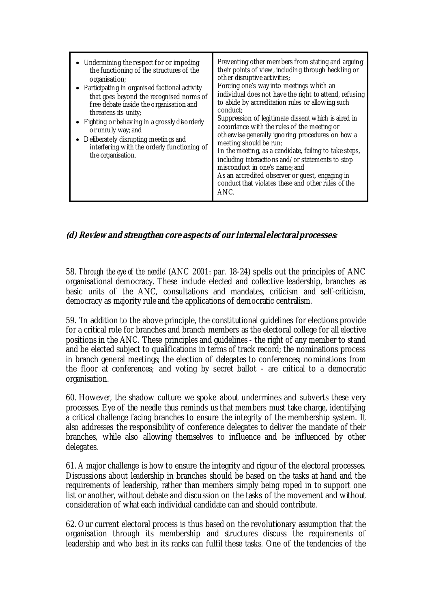| • Undermining the respect for or impeding<br>the functioning of the structures of the<br>organisation;<br>• Participating in organised factional activity<br>that goes beyond the recognised norms of<br>free debate inside the organisation and<br>threatens its unity;<br>• Fighting or behaving in a grossly disorderly<br>or unruly way; and<br>• Deliberately disrupting meetings and<br>interfering with the orderly functioning of<br>the organisation. | Preventing other members from stating and arguing<br>their points of view, including through heckling or<br>other disruptive activities;<br>Forcing one's way into meetings which an<br>individual does not have the right to attend, refusing<br>to abide by accreditation rules or allowing such<br>conduct;<br>Suppression of legitimate dissent which is aired in<br>accordance with the rules of the meeting or<br>otherwise generally ignoring procedures on how a<br>meeting should be run;<br>In the meeting, as a candidate, failing to take steps,<br>including interactions and/or statements to stop<br>misconduct in one's name; and<br>As an accredited observer or guest, engaging in<br>conduct that violates these and other rules of the<br>ANC. |
|----------------------------------------------------------------------------------------------------------------------------------------------------------------------------------------------------------------------------------------------------------------------------------------------------------------------------------------------------------------------------------------------------------------------------------------------------------------|--------------------------------------------------------------------------------------------------------------------------------------------------------------------------------------------------------------------------------------------------------------------------------------------------------------------------------------------------------------------------------------------------------------------------------------------------------------------------------------------------------------------------------------------------------------------------------------------------------------------------------------------------------------------------------------------------------------------------------------------------------------------|
|----------------------------------------------------------------------------------------------------------------------------------------------------------------------------------------------------------------------------------------------------------------------------------------------------------------------------------------------------------------------------------------------------------------------------------------------------------------|--------------------------------------------------------------------------------------------------------------------------------------------------------------------------------------------------------------------------------------------------------------------------------------------------------------------------------------------------------------------------------------------------------------------------------------------------------------------------------------------------------------------------------------------------------------------------------------------------------------------------------------------------------------------------------------------------------------------------------------------------------------------|

## **(d) Review and strengthen core aspects of our internal electoral processes:**

58. *Through the eye of the needle'* (ANC 2001: par. 18-24) spells out the principles of ANC organisational democracy. These include elected and collective leadership, branches as basic units of the ANC, consultations and mandates, criticism and self-criticism, democracy as majority rule and the applications of democratic centralism.

59. 'In addition to the above principle, the constitutional guidelines for elections provide for a critical role for branches and branch members as the electoral college for all elective positions in the ANC. These principles and guidelines - the right of any member to stand and be elected subject to qualifications in terms of track record; the nominations process in branch general meetings; the election of delegates to conferences; nominations from the floor at conferences; and voting by secret ballot - are critical to a democratic organisation.

60. However, the shadow culture we spoke about undermines and subverts these very processes. Eye of the needle thus reminds us that members must take charge, identifying a critical challenge facing branches to ensure the integrity of the membership system. It also addresses the responsibility of conference delegates to deliver the mandate of their branches, while also allowing themselves to influence and be influenced by other delegates.

61. A major challenge is how to ensure the integrity and rigour of the electoral processes. Discussions about leadership in branches should be based on the tasks at hand and the requirements of leadership, rather than members simply being roped in to support one list or another, without debate and discussion on the tasks of the movement and without consideration of what each individual candidate can and should contribute.

62. Our current electoral process is thus based on the revolutionary assumption that the organisation through its membership and structures discuss the requirements of leadership and who best in its ranks can fulfil these tasks. One of the tendencies of the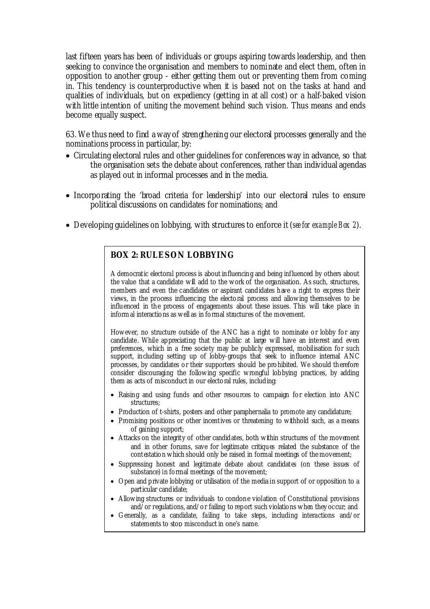last fifteen years has been of individuals or groups aspiring towards leadership, and then seeking to convince the organisation and members to nominate and elect them, often in opposition to another group - either getting them out or preventing them from coming in. This tendency is counterproductive when it is based not on the tasks at hand and qualities of individuals, but on expediency (getting in at all cost) or a half-baked vision with little intention of uniting the movement behind such vision. Thus means and ends become equally suspect.

63. We thus need to find a way of strengthening our electoral processes generally and the nominations process in particular, by:

- Circulating electoral rules and other guidelines for conferences way in advance, so that the organisation sets the debate about conferences, rather than individual agendas as played out in informal processes and in the media.
- Incorporating the 'broad criteria for leadership' into our electoral rules to ensure political discussions on candidates for nominations; and
- Developing guidelines on lobbying, with structures to enforce it (*see for example Box 2*).

## **BOX 2: RULES ON LOBBYING**

A democratic electoral process is about influencing and being influenced by others about the value that a candidate w ill add to the w ork of the organisation. As such, structures, members and even the candidates or aspirant candidates have a right to express their views, in the process influencing the electoral process and allow ing themselves to be influenced in the process of engagements about these issues. This will take place in inform al interactions as w ell as in formal structures of the movement.

How ever, no structure outside of the ANC has a right to nominate or lobby for any candidate. While appreciating that the public at large w ill have an interest and even preferences, which in a free society may be publicly expressed, mobilisation for such support, including setting up of lobby-groups that seek to influence internal ANC processes, by candidates or their supporters should be prohibited. We should therefore consider discouraging the follow ing specific w rongful lobbying practices, by adding them as acts of misconduct in our electoral rules, including:

- Raising and using funds and other resources to campaign for election into ANC structures;
- Production of t-shirts, posters and other paraphernalia to promote any candidature;
- Promising positions or other incentives or threatening to withhold such, as a means of gaining support;
- Attacks on the integrity of other candidates, both w ithin structures of the movement and in other forums, save for legitimate critiques related the substance of the contestation w hich should only be raised in formal meetings of the movement;
- Suppressing honest and legitimate debate about candidates (on these issues of substance) in formal meetings of the movement;
- Open and private lobbying or utilisation of the media in support of or opposition to a particular candidate;
- Allow ing structures or individuals to condone violation of Constitutional provisions and/or regulations, and/or failing to report such violations w hen they occur; and
- Generally, as a candidate, failing to take steps, including interactions and/or statements to stop misconduct in one's name.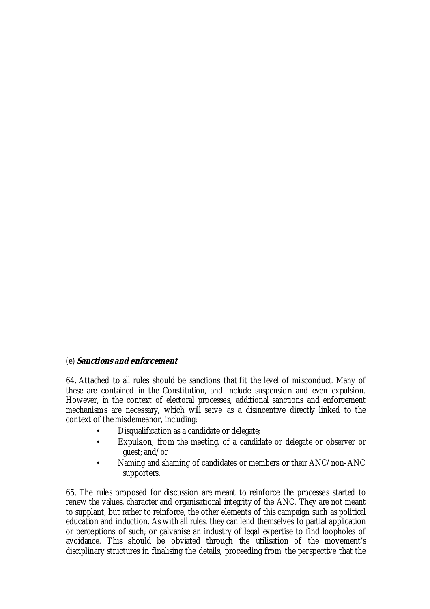## (e) **Sanctions and enforcement**

64. Attached to all rules should be sanctions that fit the level of misconduct. Many of these are contained in the Constitution, and include suspension and even expulsion. However, in the context of electoral processes, additional sanctions and enforcement mechanisms are necessary, which will serve as a disincentive directly linked to the context of the misdemeanor, including:

- Disqualification as a candidate or delegate;
- Expulsion, from the meeting, of a candidate or delegate or observer or guest; and/or
- Naming and shaming of candidates or members or their ANC/non-ANC supporters.

65. The rules proposed for discussion are meant to reinforce the processes started to renew the values, character and organisational integrity of the ANC. They are not meant to supplant, but rather to reinforce, the other elements of this campaign such as political education and induction. As with all rules, they can lend themselves to partial application or perceptions of such; or galvanise an industry of legal expertise to find loopholes of avoidance. This should be obviated through the utilisation of the movement's disciplinary structures in finalising the details, proceeding from the perspective that the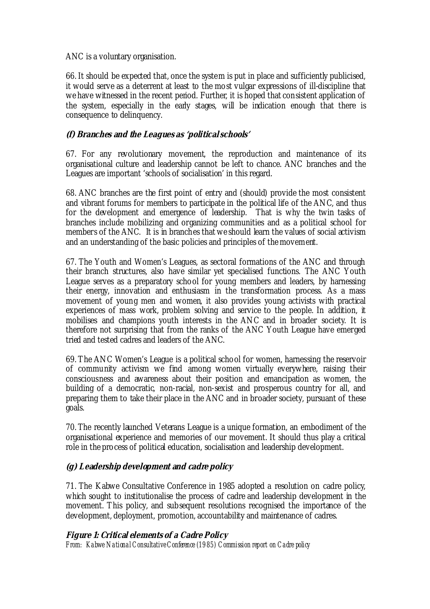ANC is a voluntary organisation.

66. It should be expected that, once the system is put in place and sufficiently publicised, it would serve as a deterrent at least to the most vulgar expressions of ill-discipline that we have witnessed in the recent period. Further, it is hoped that consistent application of the system, especially in the early stages, will be indication enough that there is consequence to delinquency.

## **(f) Branches and the Leagues as 'political schools'**

67. For any revolutionary movement, the reproduction and maintenance of its organisational culture and leadership cannot be left to chance. ANC branches and the Leagues are important 'schools of socialisation' in this regard.

68. ANC branches are the first point of entry and (should) provide the most consistent and vibrant forums for members to participate in the political life of the ANC, and thus for the development and emergence of leadership. That is why the twin tasks of branches include mobilizing and organizing communities and as a political school for members of the ANC. It is in branches that we should learn the values of social activism and an understanding of the basic policies and principles of the movement.

67. The Youth and Women's Leagues, as sectoral formations of the ANC and through their branch structures, also have similar yet specialised functions. The ANC Youth League serves as a preparatory school for young members and leaders, by harnessing their energy, innovation and enthusiasm in the transformation process. As a mass movement of young men and women, it also provides young activists with practical experiences of mass work, problem solving and service to the people. In addition, it mobilises and champions youth interests in the ANC and in broader society. It is therefore not surprising that from the ranks of the ANC Youth League have emerged tried and tested cadres and leaders of the ANC.

69. The ANC Women's League is a political school for women, harnessing the reservoir of community activism we find among women virtually everywhere, raising their consciousness and awareness about their position and emancipation as women, the building of a democratic, non-racial, non-sexist and prosperous country for all, and preparing them to take their place in the ANC and in broader society, pursuant of these goals.

70. The recently launched Veterans League is a unique formation, an embodiment of the organisational experience and memories of our movement. It should thus play a critical role in the process of political education, socialisation and leadership development.

## **(g) Leadership development and cadre policy**

71. The Kabwe Consultative Conference in 1985 adopted a resolution on cadre policy, which sought to institutionalise the process of cadre and leadership development in the movement. This policy, and subsequent resolutions recognised the importance of the development, deployment, promotion, accountability and maintenance of cadres.

## **Figure 1: Critical elements of a Cadre Policy**

*From: Kabwe National Consultative Conference (1985) Commission report on Cadre policy*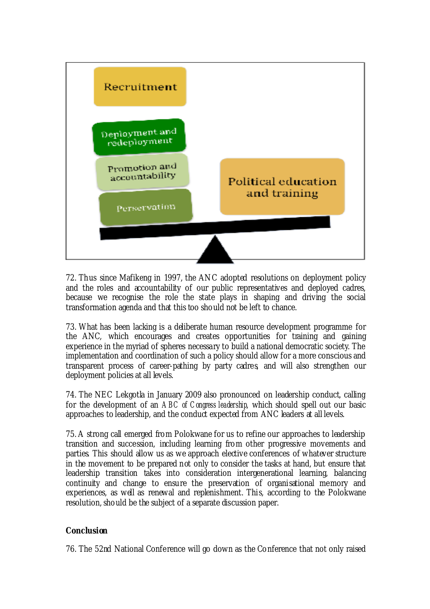

72. Thus since Mafikeng in 1997, the ANC adopted resolutions on deployment policy and the roles and accountability of our public representatives and deployed cadres, because we recognise the role the state plays in shaping and driving the social transformation agenda and that this too should not be left to chance.

73. What has been lacking is a deliberate human resource development programme for the ANC, which encourages and creates opportunities for training and gaining experience in the myriad of spheres necessary to build a national democratic society. The implementation and coordination of such a policy should allow for a more conscious and transparent process of career-pathing by party cadres, and will also strengthen our deployment policies at all levels.

74. The NEC Lekgotla in January 2009 also pronounced on leadership conduct, calling for the development of an *ABC of Congress leadership*, which should spell out our basic approaches to leadership, and the conduct expected from ANC leaders at all levels.

75. A strong call emerged from Polokwane for us to refine our approaches to leadership transition and succession, including learning from other progressive movements and parties. This should allow us as we approach elective conferences of whatever structure in the movement to be prepared not only to consider the tasks at hand, but ensure that leadership transition takes into consideration intergenerational learning, balancing continuity and change to ensure the preservation of organisational memory and experiences, as well as renewal and replenishment. This, according to the Polokwane resolution, should be the subject of a separate discussion paper.

## **Conclusion**

76. The 52nd National Conference will go down as the Conference that not only raised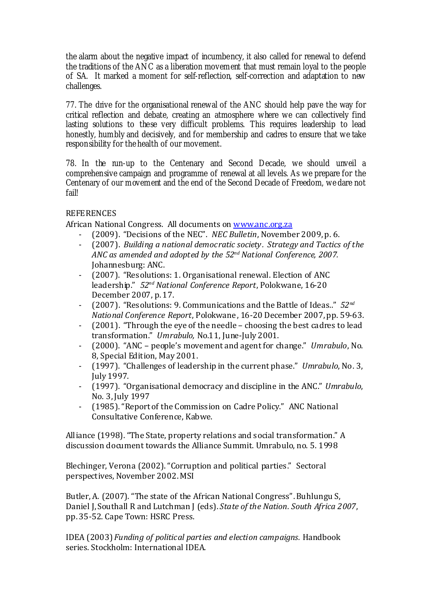the alarm about the negative impact of incumbency, it also called for renewal to defend the traditions of the ANC as a liberation movement that must remain loyal to the people of SA. It marked a moment for self-reflection, self-correction and adaptation to new challenges.

77. The drive for the organisational renewal of the ANC should help pave the way for critical reflection and debate, creating an atmosphere where we can collectively find lasting solutions to these very difficult problems. This requires leadership to lead honestly, humbly and decisively, and for membership and cadres to ensure that we take responsibility for the health of our movement.

78. In the run-up to the Centenary and Second Decade, we should unveil a comprehensive campaign and programme of renewal at all levels. As we prepare for the Centenary of our movement and the end of the Second Decade of Freedom, we dare not fail!

## REFERENCES

African National Congress. All documents on www.anc.org.za

- ‐ (2009). "Decisions of the NEC". *NEC Bulletin*, November 2009, p. 6.
- ‐ (2007). *Building a national democratic society . Strategy and Tactics of the ANC as amended and adopted by the 52nd National Conference, 2007.* Johannesburg: ANC.
- ‐ (2007). "Resolutions: 1. Organisational renewal. Election of ANC leadership." *52nd National Conference Report*, Polokwane, 16‐20 December 2007, p. 17.
- ‐ (2007). "Resolutions: 9. Communications and the Battle of Ideas.." *52nd National Conference Report*, Polokwane, 16‐20 December 2007, pp. 59‐63.
- ‐ (2001). "Through the eye of the needle choosing the best cadres to lead transformation." *Umrabulo,* No.11, June‐July 2001.
- ‐ (2000). "ANC people's movement and agent for change." *Umrabulo*, No. 8, Special Edition, May 2001.
- ‐ (1997). "Challenges of leadership in the current phase." *Umrabulo*, No. 3, July 1997.
- ‐ (1997). "Organisational democracy and discipline in the ANC." *Umrabulo*, No. 3, July 1997
- ‐ (1985). "Report of the Commission on Cadre Policy." ANC National Consultative Conference, Kabwe.

Alliance (1998). "The State, property relations and social transformation." A discussion document towards the Alliance Summit. Umrabulo, no. 5. 1998

Blechinger, Verona (2002). "Corruption and political parties." Sectoral perspectives, November 2002. MSI

Butler, A. (2007). "The state of the African National Congress". Buhlungu S, Daniel J, Southall R and Lutchman J (eds). *State of the Nation. South Africa 2007*, pp. 35‐52. Cape Town: HSRC Press.

IDEA (2003) *Funding of political parties and election campaigns.* Handbook series. Stockholm: International IDEA.